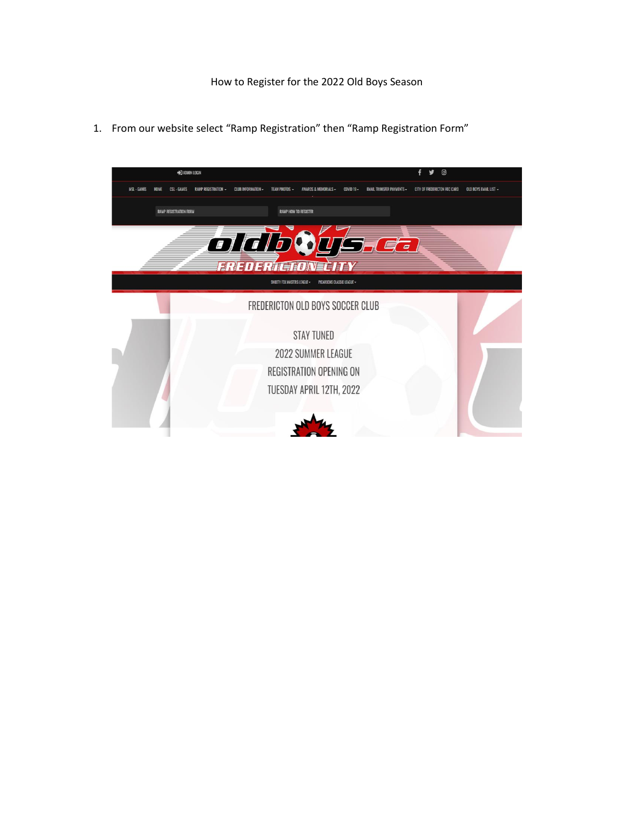1. From our website select "Ramp Registration" then "Ramp Registration Form"

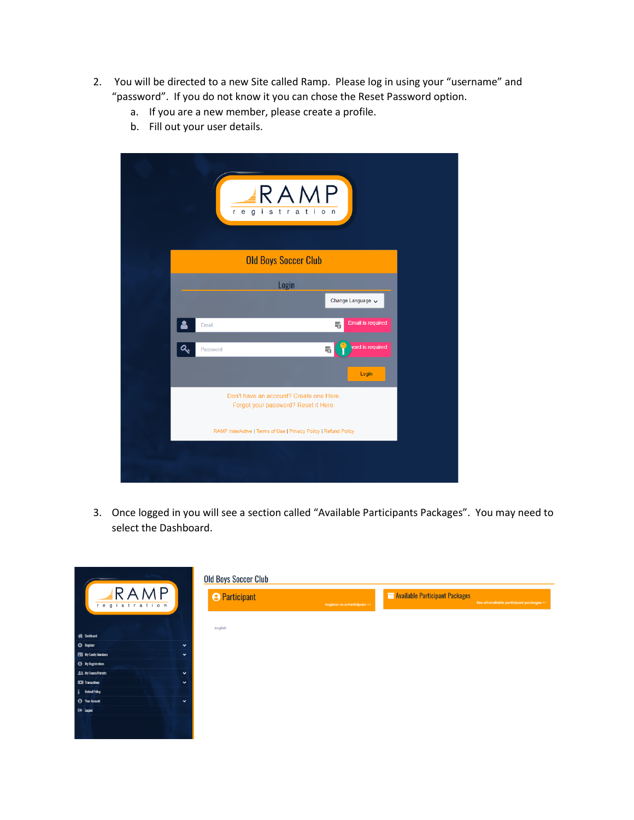- 2. You will be directed to a new Site called Ramp. Please log in using your "username" and "password". If you do not know it you can chose the Reset Password option.
	- a. If you are a new member, please create a profile.
	- b. Fill out your user details.

| RAMP<br>registration                                                            |
|---------------------------------------------------------------------------------|
| <b>Old Boys Soccer Club</b>                                                     |
| Login                                                                           |
| Change Language v                                                               |
| <b>Email is required</b><br>鷗<br>Email                                          |
| vord is required<br>屬<br>Password                                               |
| Login                                                                           |
| Don't have an account? Create one Here.<br>Forgot your password? Reset it Here. |
| RAMP InterActive   Terms of Use   Privacy Policy   Refund Policy                |
|                                                                                 |

3. Once logged in you will see a section called "Available Participants Packages". You may need to select the Dashboard.

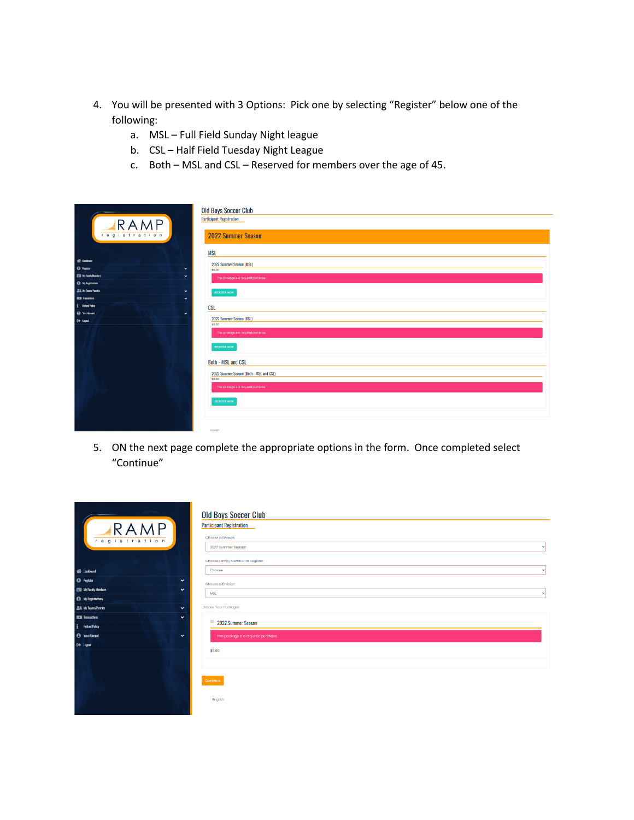- 4. You will be presented with 3 Options: Pick one by selecting "Register" below one of the following:
	- a. MSL Full Field Sunday Night league
	- b. CSL Half Field Tuesday Night League
	- c. Both MSL and CSL Reserved for members over the age of 45.

| RAMP<br>registration                                              | <b>Old Boys Soccer Club</b><br><b>Participant Registration</b><br><b>2022 Summer Season</b><br><b>MSL</b> |
|-------------------------------------------------------------------|-----------------------------------------------------------------------------------------------------------|
| <b>We Dashbard</b>                                                |                                                                                                           |
| <sup>©</sup> Fagton<br>$\checkmark$                               | 2022 Summer Season (MSL)<br>\$0.00                                                                        |
| <b>ES Ny Farnity Members</b><br>$\checkmark$                      | This package is a required purchase.                                                                      |
| <sup>4</sup> Ny Registrations                                     |                                                                                                           |
| <b>22 My Teams/Pennits</b><br>$\checkmark$                        | <b>REGISTER NOW</b>                                                                                       |
| <b>ICH</b> Transactions<br>$\checkmark$                           |                                                                                                           |
| Fig. Fishand Policy                                               | <b>CSL</b>                                                                                                |
| <sup>4</sup> Your Account<br>$\checkmark$<br><sup>(+)</sup> logat | 2022 Summer Season (CSL)                                                                                  |
|                                                                   | \$0.00<br>This package is a required purchase.<br><b>REGISTER NOW</b><br><b>Both - MSL and CSL</b>        |
|                                                                   | 2022 Summer Season (Both - MSL and CSL)<br>\$0.00<br>This package is a required purchase.                 |
|                                                                   | <b>REGISTER NOW</b>                                                                                       |

5. ON the next page complete the appropriate options in the form. Once completed select "Continue"

| RRAMP                                        | <b>Old Boys Soccer Club</b><br><b>Participant Registration</b> |
|----------------------------------------------|----------------------------------------------------------------|
| registration                                 | Choose a Season<br>2022 Summer Season<br>$\checkmark$          |
|                                              | Choose Family Member to Register                               |
| <b>SE</b> Dashboard                          | Choose<br>$\checkmark$                                         |
| <sup>6</sup> Register<br>$\checkmark$        | Choose a Division                                              |
| <b>EEE</b> My Family Members<br>$\checkmark$ | <b>MSL</b><br>$\checkmark$                                     |
| <sup>4</sup> My Registrations                |                                                                |
| <b>LL My Teams/Permits</b><br>$\check{~}$    | Choose Your Packages                                           |
| <b>ICO</b> Transactions<br>$\checkmark$      | $\boxdot$                                                      |
| i Refund Policy                              | 2022 Summer Season                                             |
| <sup>O</sup> Your Account<br>$\check{~}$     | This package is a required purchase.                           |
| E+ Logout                                    | \$0.00                                                         |
|                                              | Continue                                                       |
|                                              | English                                                        |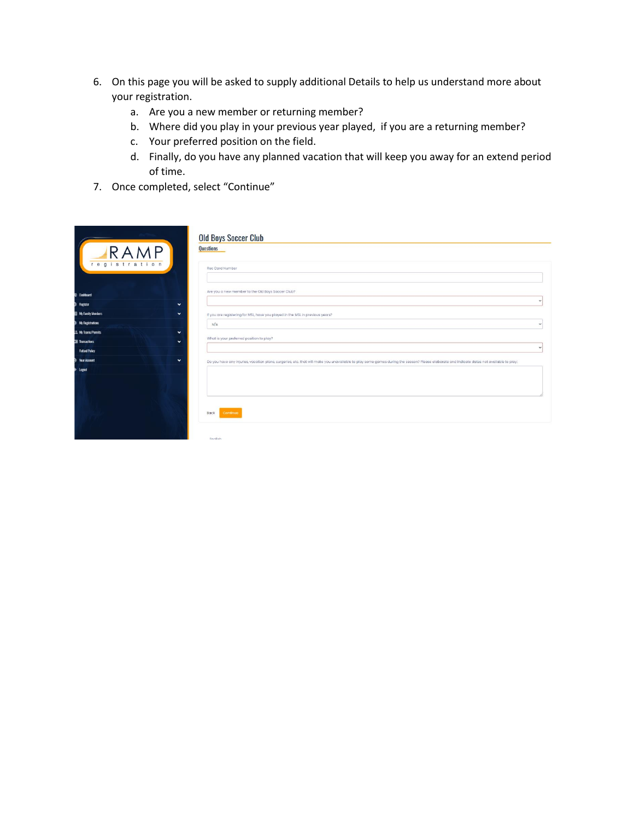- 6. On this page you will be asked to supply additional Details to help us understand more about your registration.
	- a. Are you a new member or returning member?
	- b. Where did you play in your previous year played, if you are a returning member?
	- c. Your preferred position on the field.
	- d. Finally, do you have any planned vacation that will keep you away for an extend period of time.
- 7. Once completed, select "Continue"

| IRA<br>registration                       | <b>Old Boys Soccer Club</b><br><b>Questions</b><br>Rec Card Number                                                                                                                        |   |
|-------------------------------------------|-------------------------------------------------------------------------------------------------------------------------------------------------------------------------------------------|---|
| <b>Dashboard</b>                          | Are you a new member to the Old Boys Soccer Club?                                                                                                                                         |   |
| Register<br>$\checkmark$                  |                                                                                                                                                                                           |   |
| My Family Members<br>$\checkmark$         | If you are registering for MSL, have you played in the MSL in previous years?                                                                                                             |   |
| <b>My Registrations</b>                   | N/A                                                                                                                                                                                       |   |
| <b>A</b> My Teams/Permits<br>$\checkmark$ |                                                                                                                                                                                           |   |
| <b>Transactions</b><br>$\checkmark$       | What is your preferred position to play?                                                                                                                                                  |   |
| <b>Refund Policy</b>                      |                                                                                                                                                                                           | u |
| <b>Your Account</b><br>$\checkmark$       | Do you have any injuries, vacation plans, surgeries, etc. that will make you unavailable to play some games during the season? Please elaborate and indicate dates not available to play. |   |
| logan                                     | Back<br>Continue<br>Foolish                                                                                                                                                               |   |